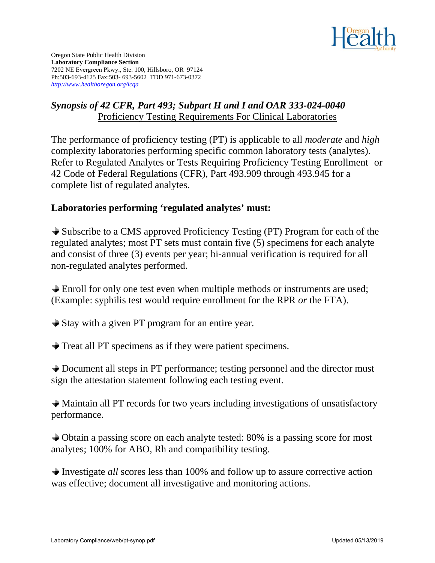

Oregon State Public Health Division **Laboratory Compliance Section** 7202 NE Evergreen Pkwy., Ste. 100, Hillsboro, OR 97124 Ph:503-693-4125 Fax:503- 693-5602 TDD 971-673-0372 *http://www.healthoregon.org/lcqa*

#### *Synopsis of 42 CFR, Part 493; Subpart H and I and OAR 333-024-0040*  Proficiency Testing Requirements For Clinical Laboratories

The performance of proficiency testing (PT) is applicable to all *moderate* and *high*  complexity laboratories performing specific common laboratory tests (analytes). Refer to Regulated Analytes or Tests Requiring Proficiency Testing Enrollment or 42 Code of Federal Regulations (CFR), Part 493.909 through 493.945 for a complete list of regulated analytes.

### **Laboratories performing 'regulated analytes' must:**

Subscribe to a CMS approved Proficiency Testing (PT) Program for each of the regulated analytes; most PT sets must contain five (5) specimens for each analyte and consist of three (3) events per year; bi-annual verification is required for all non-regulated analytes performed.

Enroll for only one test even when multiple methods or instruments are used; (Example: syphilis test would require enrollment for the RPR *or* the FTA).

Stay with a given PT program for an entire year.

Treat all PT specimens as if they were patient specimens.

 Document all steps in PT performance; testing personnel and the director must sign the attestation statement following each testing event.

Maintain all PT records for two years including investigations of unsatisfactory performance.

 Obtain a passing score on each analyte tested: 80% is a passing score for most analytes; 100% for ABO, Rh and compatibility testing.

 Investigate *all* scores less than 100% and follow up to assure corrective action was effective; document all investigative and monitoring actions.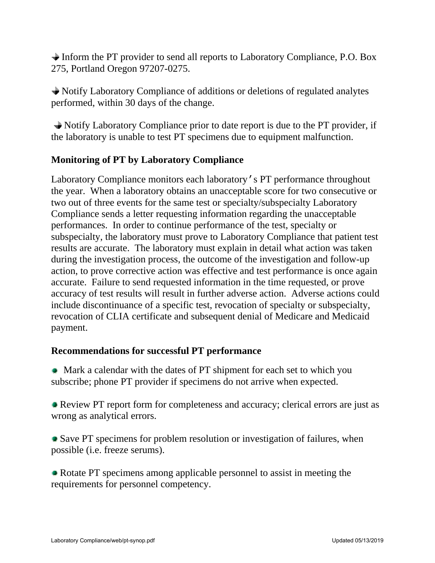Inform the PT provider to send all reports to Laboratory Compliance, P.O. Box 275, Portland Oregon 97207-0275.

 Notify Laboratory Compliance of additions or deletions of regulated analytes performed, within 30 days of the change.

 Notify Laboratory Compliance prior to date report is due to the PT provider, if the laboratory is unable to test PT specimens due to equipment malfunction.

# **Monitoring of PT by Laboratory Compliance**

Laboratory Compliance monitors each laboratory's PT performance throughout the year. When a laboratory obtains an unacceptable score for two consecutive or two out of three events for the same test or specialty/subspecialty Laboratory Compliance sends a letter requesting information regarding the unacceptable performances. In order to continue performance of the test, specialty or subspecialty, the laboratory must prove to Laboratory Compliance that patient test results are accurate. The laboratory must explain in detail what action was taken during the investigation process, the outcome of the investigation and follow-up action, to prove corrective action was effective and test performance is once again accurate. Failure to send requested information in the time requested, or prove accuracy of test results will result in further adverse action. Adverse actions could include discontinuance of a specific test, revocation of specialty or subspecialty, revocation of CLIA certificate and subsequent denial of Medicare and Medicaid payment.

# **Recommendations for successful PT performance**

• Mark a calendar with the dates of PT shipment for each set to which you subscribe; phone PT provider if specimens do not arrive when expected.

 Review PT report form for completeness and accuracy; clerical errors are just as wrong as analytical errors.

 Save PT specimens for problem resolution or investigation of failures, when possible (i.e. freeze serums).

• Rotate PT specimens among applicable personnel to assist in meeting the requirements for personnel competency.